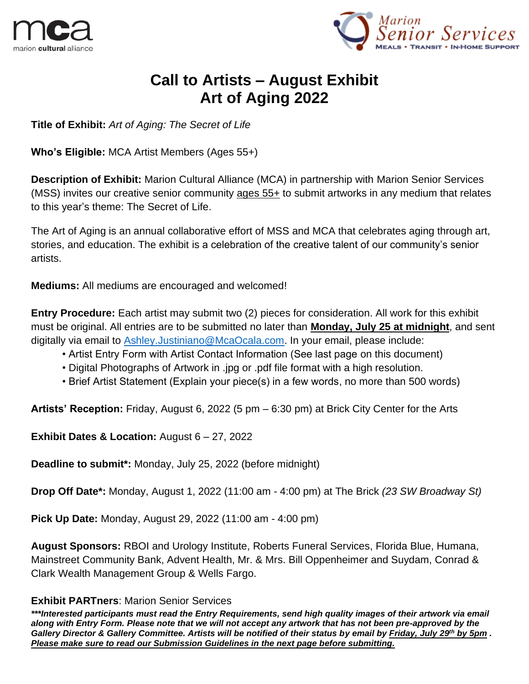



# **Call to Artists – August Exhibit Art of Aging 2022**

**Title of Exhibit:** *Art of Aging: The Secret of Life*

**Who's Eligible:** MCA Artist Members (Ages 55+)

**Description of Exhibit:** Marion Cultural Alliance (MCA) in partnership with Marion Senior Services (MSS) invites our creative senior community ages 55+ to submit artworks in any medium that relates to this year's theme: The Secret of Life.

The Art of Aging is an annual collaborative effort of MSS and MCA that celebrates aging through art, stories, and education. The exhibit is a celebration of the creative talent of our community's senior artists.

**Mediums:** All mediums are encouraged and welcomed!

**Entry Procedure:** Each artist may submit two (2) pieces for consideration. All work for this exhibit must be original. All entries are to be submitted no later than **Monday, July 25 at midnight**, and sent digitally via email to [Ashley.Justiniano@McaOcala.com.](mailto:Ashley.Justiniano@McaOcala.com) In your email, please include:

- Artist Entry Form with Artist Contact Information (See last page on this document)
- Digital Photographs of Artwork in .jpg or .pdf file format with a high resolution.
- Brief Artist Statement (Explain your piece(s) in a few words, no more than 500 words)

**Artists' Reception:** Friday, August 6, 2022 (5 pm – 6:30 pm) at Brick City Center for the Arts

**Exhibit Dates & Location:** August 6 – 27, 2022

**Deadline to submit\*:** Monday, July 25, 2022 (before midnight)

**Drop Off Date\*:** Monday, August 1, 2022 (11:00 am - 4:00 pm) at The Brick *(23 SW Broadway St)*

**Pick Up Date:** Monday, August 29, 2022 (11:00 am - 4:00 pm)

**August Sponsors:** RBOI and Urology Institute, Roberts Funeral Services, Florida Blue, Humana, Mainstreet Community Bank, Advent Health, Mr. & Mrs. Bill Oppenheimer and Suydam, Conrad & Clark Wealth Management Group & Wells Fargo.

#### **Exhibit PARTners**: Marion Senior Services

*\*\*\*Interested participants must read the Entry Requirements, send high quality images of their artwork via email along with Entry Form. Please note that we will not accept any artwork that has not been pre-approved by the Gallery Director & Gallery Committee. Artists will be notified of their status by email by Friday, July 29th by 5pm . Please make sure to read our Submission Guidelines in the next page before submitting.*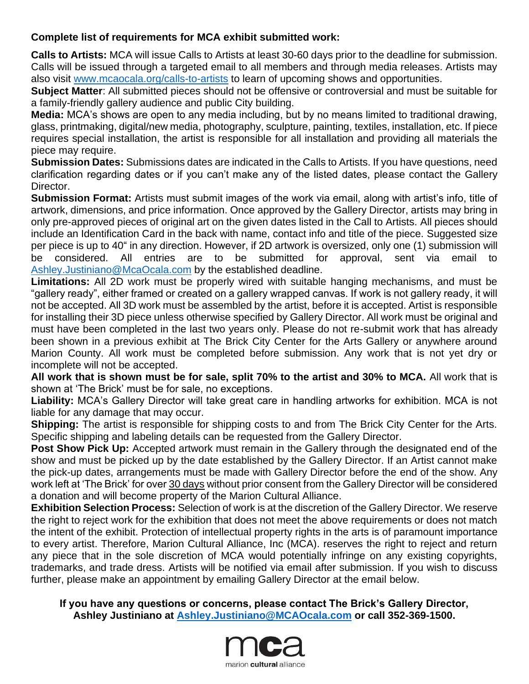### **Complete list of requirements for MCA exhibit submitted work:**

**Calls to Artists:** MCA will issue Calls to Artists at least 30-60 days prior to the deadline for submission. Calls will be issued through a targeted email to all members and through media releases. Artists may also visit [www.mcaocala.org/calls-to-artists](http://www.mcaocala.org/calls-to-artists) to learn of upcoming shows and opportunities.

**Subject Matter**: All submitted pieces should not be offensive or controversial and must be suitable for a family-friendly gallery audience and public City building.

**Media:** MCA's shows are open to any media including, but by no means limited to traditional drawing, glass, printmaking, digital/new media, photography, sculpture, painting, textiles, installation, etc. If piece requires special installation, the artist is responsible for all installation and providing all materials the piece may require.

**Submission Dates:** Submissions dates are indicated in the Calls to Artists. If you have questions, need clarification regarding dates or if you can't make any of the listed dates, please contact the Gallery Director.

**Submission Format:** Artists must submit images of the work via email, along with artist's info, title of artwork, dimensions, and price information. Once approved by the Gallery Director, artists may bring in only pre-approved pieces of original art on the given dates listed in the Call to Artists. All pieces should include an Identification Card in the back with name, contact info and title of the piece. Suggested size per piece is up to 40" in any direction. However, if 2D artwork is oversized, only one (1) submission will be considered. All entries are to be submitted for approval, sent via email to be considered. All entries are to be submitted for approval, sent via email to [Ashley.Justiniano@McaOcala.com](mailto:Ashley.Justiniano@McaOcala.com) by the established deadline.

**Limitations:** All 2D work must be properly wired with suitable hanging mechanisms, and must be "gallery ready", either framed or created on a gallery wrapped canvas. If work is not gallery ready, it will not be accepted. All 3D work must be assembled by the artist, before it is accepted. Artist is responsible for installing their 3D piece unless otherwise specified by Gallery Director. All work must be original and must have been completed in the last two years only. Please do not re-submit work that has already been shown in a previous exhibit at The Brick City Center for the Arts Gallery or anywhere around Marion County. All work must be completed before submission. Any work that is not yet dry or incomplete will not be accepted.

**All work that is shown must be for sale, split 70% to the artist and 30% to MCA.** All work that is shown at 'The Brick' must be for sale, no exceptions.

**Liability:** MCA's Gallery Director will take great care in handling artworks for exhibition. MCA is not liable for any damage that may occur.

**Shipping:** The artist is responsible for shipping costs to and from The Brick City Center for the Arts. Specific shipping and labeling details can be requested from the Gallery Director.

**Post Show Pick Up:** Accepted artwork must remain in the Gallery through the designated end of the show and must be picked up by the date established by the Gallery Director. If an Artist cannot make the pick-up dates, arrangements must be made with Gallery Director before the end of the show. Any work left at 'The Brick' for over 30 days without prior consent from the Gallery Director will be considered a donation and will become property of the Marion Cultural Alliance.

**Exhibition Selection Process:** Selection of work is at the discretion of the Gallery Director. We reserve the right to reject work for the exhibition that does not meet the above requirements or does not match the intent of the exhibit. Protection of intellectual property rights in the arts is of paramount importance to every artist. Therefore, Marion Cultural Alliance, Inc (MCA). reserves the right to reject and return any piece that in the sole discretion of MCA would potentially infringe on any existing copyrights, trademarks, and trade dress. Artists will be notified via email after submission. If you wish to discuss further, please make an appointment by emailing Gallery Director at the email below.

#### **If you have any questions or concerns, please contact The Brick's Gallery Director, Ashley Justiniano at [Ashley.Justiniano@MCAOcala.com](mailto:Ashley.Justiniano@MCAOcala.com) or call 352-369-1500.**